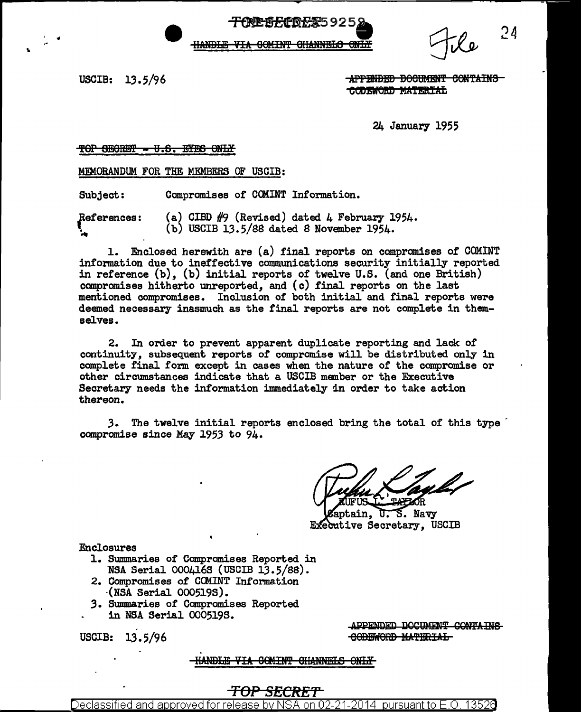HANDLE VIA GOMINT GHANNELS ONLY

ም <del>በF CD F X 5</del> 9 2 5

 $24$ 

USCIB: 13.5/96

"

APPENDED BOOTMENT CONTAINS CODEWORD MATERIAL

24 January 1955

#### TOP 8EORET - U.S. EYES ONLY

MEMORANDUM FOR THE MEMBERS OF USCIB:

Subject: Compromises or CCMINT Information.

References: ~ (a) CIBD  $#9$  (Revised) dated 4 February 1954.  $(b)$  USCIB 13.5/88 dated 8 November 1954.

1. Enclosed herewith are (a) final reports on compromises of COMINT information due to ineffective communications security initially reported in reference (b), (b) initial reports or twelve U.S. (and one British) compromises hitherto unreported, and (c) final reports on the last mentioned compromises. Inclusion of both initial and final reports were deemed necessary inasmuch as the final reports are not complete in themselves.

2. In order to prevent apparent duplicate reporting and lack of continuity, subsequent reports of compromise will be distributed only in complete final form except in cases when the nature of the compromise or other circumstances indicate that a USCIB member or the Executive Secretary needs the information immediately in order to take action thereon.

*3.* The twelve initial reports enclosed bring the total of this type · compromise since May 1953 to 94.

ᡎ᠃ S. Navy **notain.** Executive Secretary, USCIB

Enclosures

- 1. Summaries of Compromises Reported in NSA Serial 0004168 (USCIB 13.5/SS).
- 2. Compromises of CCMINT Information -(NSA Serial 0005198).
- 3. Summaries of Compromises Reported in NSA Serial 0005195.

USCIB: 13.5/96

APPENDED DOCUMENT CONTAINS **CODEWORD MATERIAL** 

HANDLE VIA COMINT CHANNELS ONLY

### *TOP SECRET*

Declassified and approved for release by NSA on 02-21-2014 pursuantto E.O. 1352a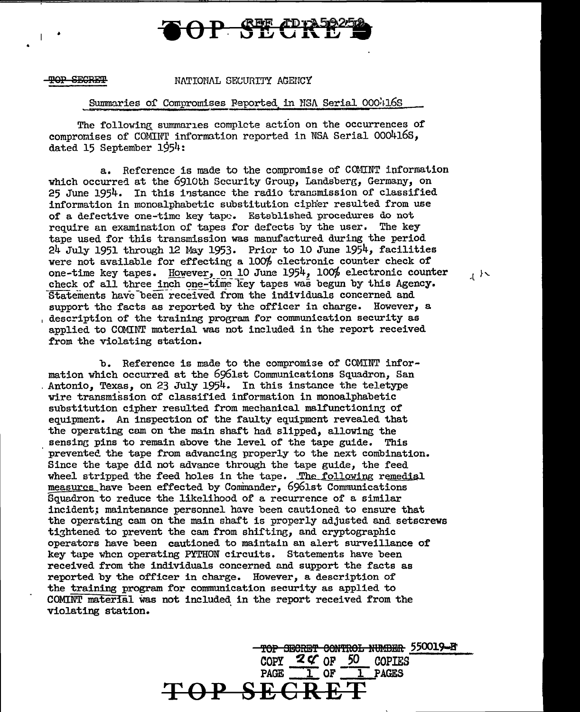# **P ST CH**

•

•

#### NATIONAL SECURITY AGENCY

TOP SECRET MATIONAL SECURITY AGENCY<br>
Summaries of Compromises Feported in NSA Serial OOO:116S<br>
The following summaries complete action on the occurrences of compromises of COMINT information reported in NSA Serial  $000416S$ , dated 15 September  $1954:$ 

a. Reference is made to the compromise of COMINT information which occurred at the 6910th Security Group, Landsberg, Germany, on 25 June 1954. In this instance the radio transmission of classified information in monoalphabetic substitution cipher resulted from use of a defective one-time key tape. Established procedures do not require an examination of tapes for defects by the user. The key tape used for this transmission was manufactured during the period 24 July 1951 through 12 May 1953· Prior to 10 June 1954, facilities were not available for effecting a  $100\%$  electronic counter check of one-time key tapes. However, on 10 June 1954, 100% electronic counter  $\frac{1}{2}$ check of all three inch one-time key tapes was begun by this Agency. Statements have been received from the individuals concerned and support the facts as reported by the officer in charge. However, a description of the training program for communication security as applied to COMINT material was not included in the report received from the violating station.

b. Reference is made to the compromise of COMINT information which occurred at the 6961st Communications Squadron, San . Antonio, Texas, on 23 July 1954. In this instance the teletype wire transmission of classified information in monoalphabetic substitution cipher resulted from mechanical malfunctioning of equipment. An inspection of the faulty equipment revealed that the operating cam on the main shaft had slipped, allowing the sensing pins to remain above the level of the tape guide. This prevented the tape from advancing properly to the next combination. Since the tape did not advance through the tape guide, the feed wheel stripped the feed holes in the tape. The following remedial measures have been effected by Cominander, 6961st Communications Squadron to reduce the likelihood of a recurrence of a similar incident; maintenance personnel have been cautioned to ensure that the operating cam on the main shaft is properly adjusted and setscrews tightened to prevent the cam from shifting, and cryptographic operators have been cautioned to maintain an alert surveillance of key tape when operating PYTHON circuits. Statements have been received from the individuals concerned and support the facts as reported by the officer in charge. However, a description of the training program for communication security as applied to COMINT material was not included in the report received from the violating station.

> TOP SECRET CONTROL NUMBER 550019-B  $\frac{2 \zeta}{\text{COPY}} = \frac{50}{1} = \frac{50}{1} = \frac{1}{1} = 0.00911 \text{ K}$ OF 1 PAGES **TOP SEC**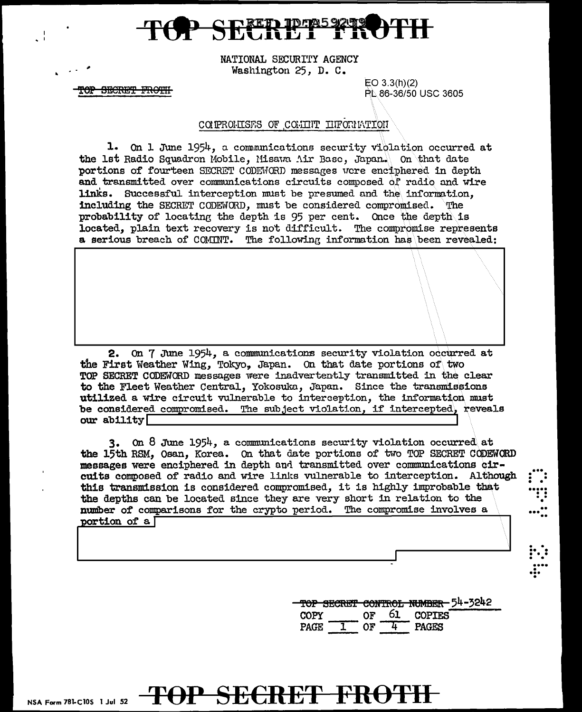NATIONAL SECURITY AGENCY Washington 25, D. C.

> $EO$  3.3(h)(2) PL 86-36/50 USC 3605

#### COMPROMISES OF COMMIT INFORMATION

TOP SECRET FROTH

1. On 1 June 1954, a communications security violation occurred at the 1st Radio Squadron Mobile, Misawa Air Base, Japan. On that date portions of fourteen SECRET CODEWORD messages were enciphered in depth and transmitted over communications circuits composed of radio and wire links. Successful interception must be presumed and the information. including the SECRET CODEWORD, must be considered compromised. The probability of locating the depth is 95 per cent. Once the depth is located, plain text recovery is not difficult. The compromise represents a serious breach of COMINT. The following information has been revealed:

2. On 7 June 1954, a communications security violation occurred at the First Weather Wing, Tokyo, Japan. On that date portions of two TOP SECRET CODEWORD messages were inadvertently transmitted in the clear to the Fleet Weather Central, Yokosuka, Japan. Since the transmissions utilized a wire circuit vulnerable to interception, the information must be considered compromised. The subject violation, if intercepted, reveals our ability

3. On 8 June 1954, a communications security violation occurred at the 15th RSM, Osan, Korea. On that date portions of two TOP SECRET CODEWORD messages were enciphered in depth and transmitted over communications circuits composed of radio and wire links vulnerable to interception. Although this transmission is considered compromised, it is highly improbable that the depths can be located since they are very short in relation to the number of comparisons for the crypto period. The compromise involves a portion of a [

> <del>- TOP SECRET CONTROL NUMBER 5</del>4-3242 61 OF **COPTES COPY**  $OF$  $-\overline{4}$ PAGE<sup>-</sup> **PAGES**

 $\frac{1}{2}$ 

## <del>TOP SECRET FROTH</del>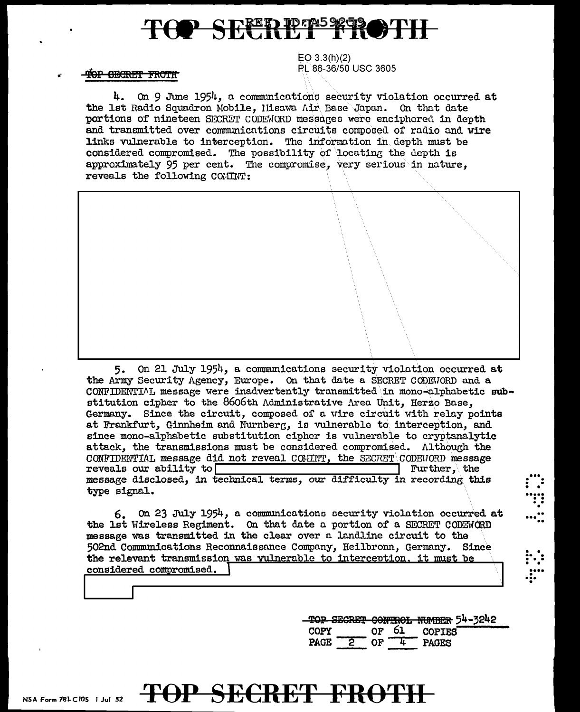# **TOP SECRETE E ROTH**

EO 3.3(h)(2) PL 86-36/50 USC 3605

TOP GECRET FROTH

4. On 9 June 1954, a communications security violation occurred at the lst Radio Squadron Mobile, llisawa Air Base Japan. On that date portions of nineteen SECRET CODEWORD messages were enciphored in depth and transmitted over communications circuits composed of radio and wire links vulnerable to interception. The information in depth must be considered compromised. The possibility of locating the depth is approximately 95 per cent. The compromise, very serious in nature. reveals the following COMINT:

5. On 21 July 1954, a communications security violation occurred at the Army Security Agency, Europe. On that date a SECRET CODEWORD and a CONFIDENTIML message were inadvertently transmitted in mono-alphabetic substitution cipher to the 8606th Administrative Area Unit, Herzo Base, Germany. Since the circuit, composed of a wire circuit with relay points at Frankfurt, Ginnheim and Nurnberg, is vulnerable to interception, and since mono-alphabetic substitution cipher is vulnerable to cryptanalytic attack, the transmissions must be considered compromised. Although the CONFIDENTIAL message did not reveal COMINT, the SECRET\CODEWORD message reveals our ability to reveals our ability to  $\Box$ message disclosed, in technical terms, our difficulty in recording this type signal.

6. On 23 July 1954, a communico.tiono oecurity violation occurred at the 1st Wireless Regiment. On that date a portion of a SECRET CODEWORD message was transmitted in the clear over o. land.line circuit to the 502nd Communications Reconnaissance Company, Heilbronn, Germany. Since the relevant transmission was vulnerable to interception, it must be considered compromised.

> '!!OP Si:SRE'! 99N'i'R0fa NUMmlR 54-3242  $COPY$  or  $61$  COPIES<br>PAGE 2 OF  $4$  PAGES  $P^2$  OF  $\frac{1}{4}$  PAGES

. . ••• . . • • . .... . . . . .

..<br>..."...

. . .. . ...

• • . ... . ... .

# NSA Form 78LC10S 1 Jul 52 **TOP SECRET FROTH**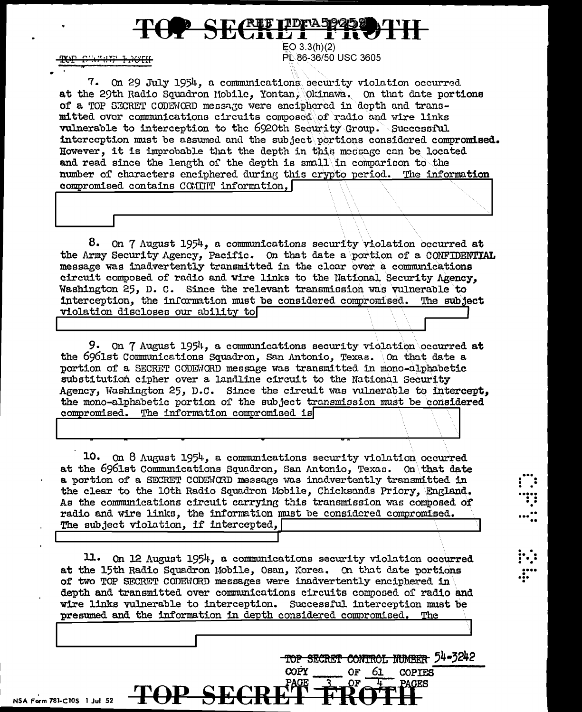# TOP SECRETIFIES PRO

<del>S'AFHEF FAOTH</del>

 $EO$  3.3(h)(2) PL 86-36/50 USC 3605

7. On 29 July 1954, a communications security violation occurred at the 29th Radio Squadron Mobile, Yontan, Okinawa. On that date portions of a TOP SECRET CODEWORD message were enciphered in depth and transmitted over communications circuits composed of radio and wire links vulnerable to interception to the 6920th Security Group. Successful interception must be assumed and the subject portions considered compromised. However, it is improbable that the depth in this message can be located and read since the length of the depth is small in comparison to the number of characters enciphered during this crypto period. The information compromised contains COMINT information,

8. On 7 August 1954, a communications security violation occurred at the Army Security Agency, Pacific. On that date a portion of a CONFIDENTIAL message was inadvertently transmitted in the clear over a communications circuit composed of radio and wire links to the National Security Agency. Washington 25, D. C. Since the relevant transmission was vulnerable to interception, the information must be considered compromised. The subject violation discloses our ability to

9. On 7 August 1954, a communications security violation occurred at the 6961st Communications Squadron, San Antonio, Texas. On that date a portion of a SECRET CODEWORD message was transmitted in mono-alphabetic substitution cipher over a landline circuit to the National Security Agency, Washington 25, D.C. Since the circuit was vulnerable to intercept. the mono-alphabetic portion of the subject transmission must be considered compromised. The information compromised is

10. On 8 August 1954, a communications security violation occurred at the 6961st Communications Squadron, San Antonio, Texas. On that date a portion of a SECRET CODEWORD message was inadvertently transmitted in the clear to the 10th Radio Squadron Mobile, Chicksands Priory, England. As the communications circuit carrying this transmission was composed of radio and wire links, the information must be considered compromised. The subject violation, if intercepted, [

11. On 12 August 1954, a communications security violation occurred at the 15th Radio Squadron Mobile, Osan, Korea. On that date portions of two TOP SECRET CODEWORD messages were inadvertently enciphered in depth and transmitted over communications circuits composed of radio and wire links vulnerable to interception. Successful interception must be presumed and the information in depth considered compromised. The

**TOP SEC** 

**COPY** 

**PAGE** 

TOP SECRET CONTROL NUMBER 54-3242

**OF** 

ОF

61 COPIES

NSA Form 781-C105 1 Jul 52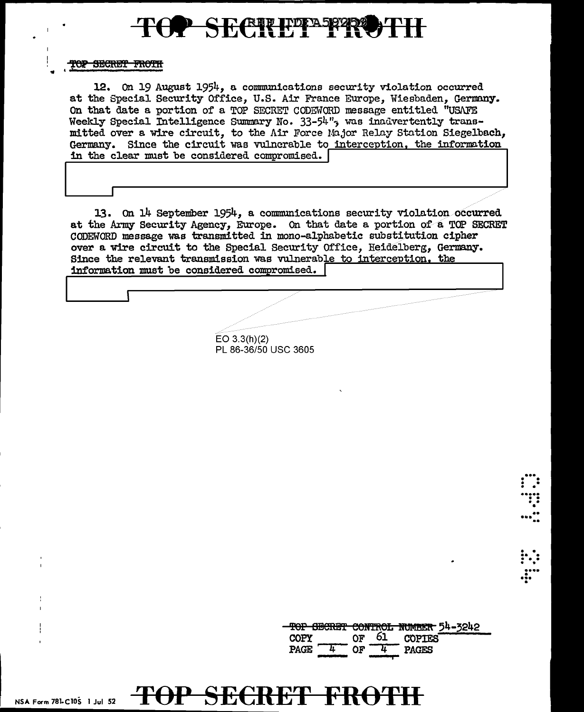

TOP SECRET FROTH

12. On 19 August 1954. a communications security violation occurred at the Special Security Office, U.S. Air France Europe, Wiesbaden, Germany. On that date a portion of a TOP SECRET CODEWORD message entitled "USAFE Weekly Special Intelligence Summary No. 33-54", was inadvertently transmitted over a wire circuit, to the Air Force Major Relay Station Siegelbach, Germany. Since the circuit was vulnerable to interception, the information in the clear must be considered compromised.

13. On 14 September 1954, a communications security violation occurred at the Army Security Agency, Europe. On that date a portion of a TOP SECRET CODEWORD message was transmitted in mono-alphabetic substitution cipher over a wire circuit to the Special Security Office, Heidelberg, Germany. Since the relevant transmission was vulnerable to interception, the information must be considered compromised. [

> $EO 3.3(h)(2)$ PL 86-36/50 USC 3605

F<del>OP SECRET FROTI</del>

|             |    | TOP SECRET CONTROL NUMBER 54-3242 |
|-------------|----|-----------------------------------|
| <b>COPY</b> | ሰፑ | <b>COPTES</b>                     |
| <b>PAGE</b> |    | PAGES                             |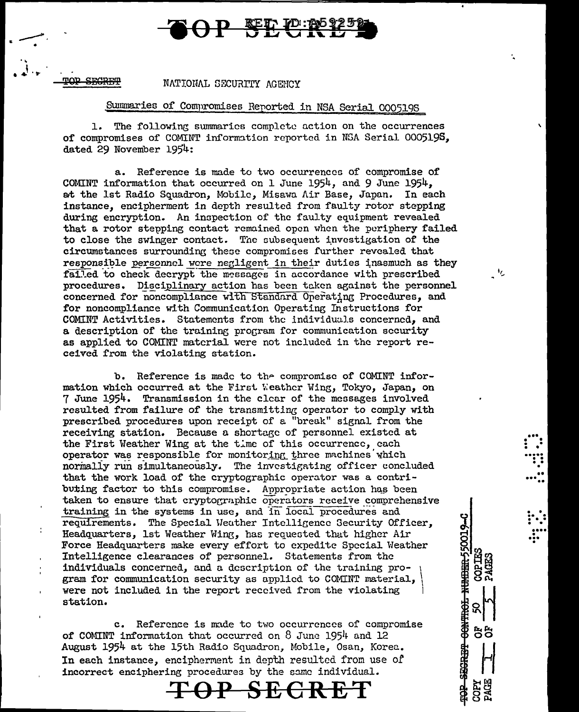### **REED TO:1**

SECREP

#### NATIONAL SECURITY AGENCY

### Summaries of Compromises Reported in NSA Serial 000519S

The following summaries complete action on the occurrences  $1.$ of compromises of COMINT information reported in NSA Serial 000519S. dated 29 November 1954:

a. Reference is made to two occurrences of compromise of COMINT information that occurred on 1 June 1954, and 9 June 1954. at the 1st Radio Squadron, Mobile, Misawa Air Base, Japan. In each instance, encipherment in depth resulted from faulty rotor stepping during encryption. An inspection of the faulty equipment revealed that a rotor stepping contact remained open when the periphery failed to close the swinger contact. The subsequent investigation of the circumstances surrounding these compromises further revealed that responsible personnel were negligent in their duties inasmuch as they failed to check decrypt the messages in accordance with prescribed procedures. Disciplinary action has been taken against the personnel concerned for noncompliance with Standard Operating Procedures, and for noncompliance with Communication Operating Instructions for COMINT Activities. Statements from the individuals concerned, and a description of the training program for communication security as applied to COMINT material were not included in the report received from the violating station.

٠,

**HUIDEL-550019-C** 

**CONTINGE** 

电电话器

កក

b. Reference is made to the compromise of COMINT information which occurred at the First Weather Wing, Tokyo, Japan, on 7 June 1954. Transmission in the clear of the messages involved resulted from failure of the transmitting operator to comply with prescribed procedures upon receipt of a "break" signal from the receiving station. Because a shortage of personnel existed at the First Weather Wing at the time of this occurrence, each operator was responsible for monitoring three machines which normally run simultaneously. The investigating officer concluded that the work load of the cryptographic operator was a contributing factor to this compromise. Appropriate action has been taken to ensure that cryptographic operators receive comprehensive training in the systems in use, and in local procedures and requirements. The Special Weather Intelligence Security Officer, Headquarters, 1st Weather Wing, has requested that higher Air Force Headquarters make every effort to expedite Special Weather Intelligence clearances of personnel. Statements from the individuals concerned, and a description of the training program for communication security as applied to COMINT material, were not included in the report received from the violating station.

c. Reference is made to two occurrences of compromise of COMINT information that occurred on 8 June 1954 and 12 August 1954 at the 15th Radio Squadron, Mobile, Osan, Korea. In each instance, encipherment in depth resulted from use of incorrect enciphering procedures by the same individual.

#### <del>TOP</del> SË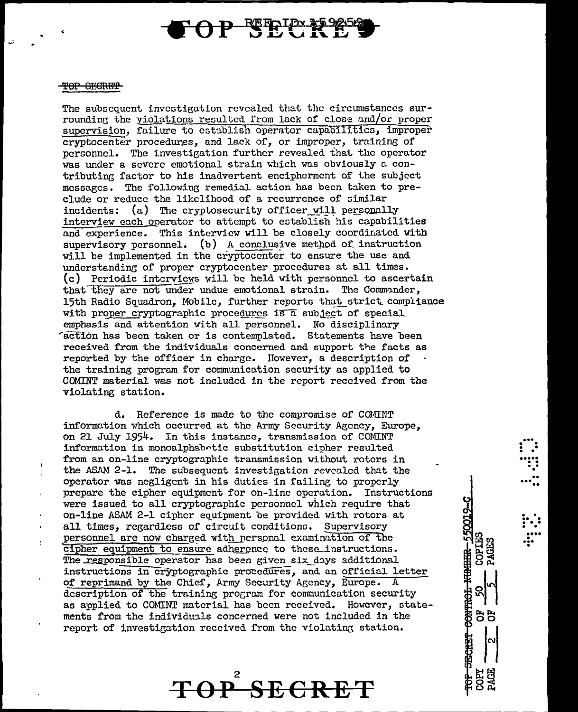# **P KETPLEY**

#### TOP GEGRET

J.

The subsequent investigation revealed that the circumstances surrounding the yiolations resulted from lack of close and/or proper supervision, failure to establish operator capabilities, improper cryptocenter procedures, and lack of, or improper, training of personnel. The investigation further revealed that the operator was under a severe emotional strain which was obviously a contributing factor to his inadvertent encipherment of the subject messages. The following remedial action has been taken to preclude or reduce the likelihood of a recurrence of similar incidents: (a) The cryptosecurity officer will personally interview each operator to attempt to establish his capabilities and experience. This interview will be closely coordinated with supervisory personnel. (b) A conclusive method of instruction will be implemented in the cryptocenter to ensure the use and understanding of proper cryptocenter procedures at all times. (c) Periodic interviews will be held with personnel to ascertain that they are not under undue emotional strain. The Commander, 15th Radio Squadron. Mobile, further reports that strict compijance with proper cryptographic procedures is a subject of special emphasis and attention with all personnel. No disciplinary detion has been taken or is contemplated. Statements have been received from the individuals concerned and support the facts as reported by the officer in charge. However, a description of the training program for communication security as applied to COMINT material was not included in the report received from the violating station.

d. Reference is made to the compromise of COMINT information which occurred at the Army Security Agency, Europe. on 21 July 1954. In this instance, transmission of COMINT information in monoalphabetic substitution cipher resulted from an on-line cryptographic transmission without rotors in the ASAM 2-1. The subsequent investigation revealed that the operator was negligent in his duties in failing to properly prepare the cipher equipment for on-line operation. Instructions were issued to all cryptographic personnel which require that on-line ASAM 2-1 cipher equipment be provided with rotors at all times, regardless of circuit conditions. Supervisory personnel are now charged with personal examination of the cipher equipment to ensure adherence to these instructions. The responsible operator has been given six days additional instructions in cryptographic procedures, and an official letter of reprimand by the Chief, Army Security Agency, Europe. A description of the training program for communication security as applied to COMINT material has been received. However, statements from the individuals concerned were not included in the report of investigation received from the violating station.

TOP SECRET

CONTROL NUMBER-550019-C

**COPIES** 

55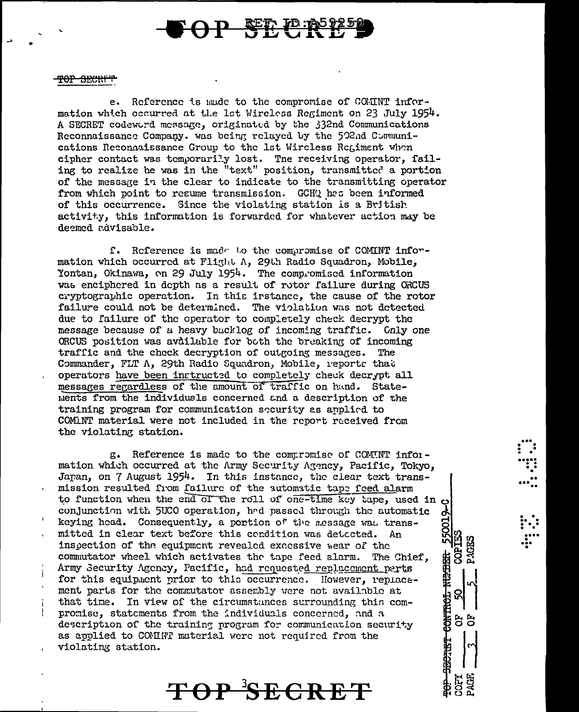# **P SEP FD: 20125**

#### <del>TOP SECRIT</del>

e. Reference is mude to the compromise of COMINT information which occurred at the 1st Wireless Regiment on 23 July 1954. A SECRET codeword message, originated by the 332nd Communications Reconnaissance Company. was being relayed by the 502nd Communications Reconnaissance Group to the 1st Wireless Regiment when cipher contact was temporarily lost. The receiving operator, failing to realize he was in the "text" position, transmitted a portion of the message in the clear to indicate to the transmitting operator from which point to resume transmission. GCHQ has been informed of this occurrence. Since the violating station is a British activity, this information is forwarded for whatever action may be deemed advisable.

f. Reference is made to the compromise of COMINT information which occurred at Flight A, 29th Radio Squadron, Mobile, Yontan, Okinawa, on 29 July 1954. The compromised information was enciphered in depth as a result of rotor failure during ORCUS cryptographic operation. In this irstance, the cause of the rotor failure could not be determined. The violation was not detected due to failure of the operator to completely check decrypt the message because of a heavy backlog of incoming traffic. Cnly one ORCUS position was avdilable for both the breaking of incoming traffic and the check decryption of outgoing messages. The Commander, FLT A, 29th Radio Squadron, Mobile, reports that operators have been instructed to completely check decrypt all messages regardless of the amount of traffic on hand. Statements from the individuals concerned and a description of the training program for communication security as applied to COMINT material were not included in the report received from the violating station.

g. Reference is made to the compromise of COMINT information which occurred at the Army Security Agency, Pacific, Tokyo, Japan, on 7 August 1954. In this instance, the clear text transmission resulted from failure of the automatic tape feed alarm to function when the end of the roll of one-time key tape, used in  $o$ conjunction with 5UCO operation, had passed through the automatic keying head. Consequently, a portion of the message was transmitted in clear text before this condition was detected. An inspection of the equipment revealed excessive wear of the commutator wheel which activates the tape feed alarm. The Chief, Army Security Agency, Pacific, had requested replacement parts for this equipment prior to this occurrence. However, replacement parts for the commutator assembly were not available at that time. In view of the circumstances surrounding this compromise, statements from the individuals concerned, and a description of the training program for communication security as applied to COMINT material were not required from the violating station.

J

55001

NU.<br>Dia m

CONTROL

**SHOTHET** 

ă

**TOP SECRET**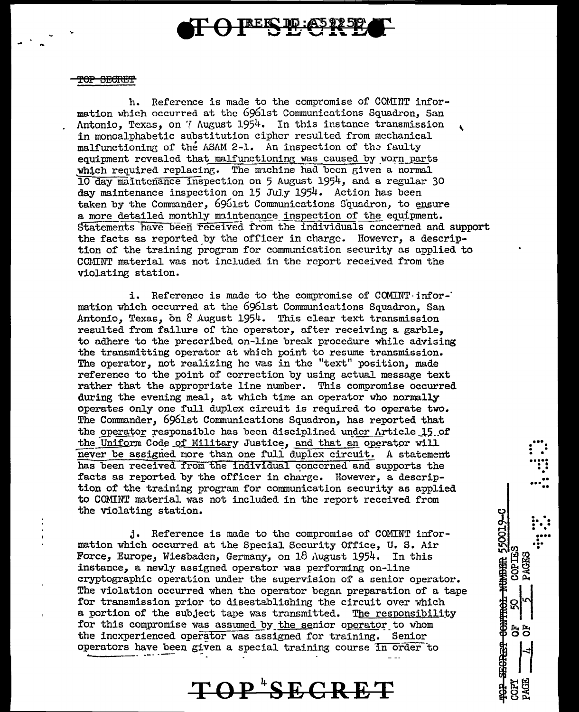## TREES TO: ASS

#### TOP SECRET

h. Reference is made to the compromise of COMINT information which occurred at the 6961st Communications Squadron, San Antonio, Texas, on *'{* August 1954. In this instance transmission , in monoalphabetic substitution cipher resulted from mechanical malfunctioning of the ASAM 2-1. An inspection of the faulty equipment revealed that malfunctioning was caused by worn parts which required replacing. The machine had been given a normal 10 day maintenance inspection on 5 August 1954, and a regular 30 day maintenance inspection on 15 July 1954. Action has been taken by the Commander, 6961st Communications Squadron, to ensure a more detailed monthly maintenance inspection of the equipment. Statements have been received from the individuals concerned and support the facts as reported by the officer in charge. However, a description of the training program for communication security as applied to COMINT material was not included in the report received from the violating station.

i. Reference is made to the compromise of COMINT-jnfor-· mation which occurred at the 6961st Communications Squadron, San Antonio, Texas, on  $8$  August 1954. This clear text transmission resulted from failure of the operator, after receiving a garble, to adhere to the prescribed on-line break procedure while advising the transmitting operator at whjch point to resume transmission. The operator, not realizing he was in the "text" position, made reference to the point of correction by using actual message text rather that the appropriate line number. This compromise occurred during the evening meal, at which time an operator who normally operates only one full duplex circuit is required to operate two. The Commander, 6961st Communications Squadron, has reported that the operator responsible has been disciplined under Article 15 of the Uniform Code of Military Justice, and that an operator will never be assigned more than one full duplex circuit. A statement has been received from the individual concerned and supports the facts as reported by the officer in charge. However, a description of the training program for communicatlon security as applied to COMINT material was not included in the report received from the violating station.

...<br>...<br>.... .  $...$   $...$ 

ၛ …. r)<br>이 : : :<br>리 : : :

 $\frac{8}{50}$  ::

11

**88** 

**COP IE:** 

**CONTINGE** 

j. Reference is made to the compromise or COMINT information which occurred at the Special Security Office, U. S. Air Force, Europe, Wiesbaden, Germany, on 18 August 1954. In this instance, a newly assigned operator was performing on-line cryptographic operation under the supervision of a senior operator. The violation occurred when the operator began preparation of a tape for transmission prior to disestablishing the circuit over which a portion of the subject tape was transmitted. The responsibility for this compromise was assumed by the senior operator to whom the inexperienced operator was assigned for training. Senior operators have been given a special training course In order to

# **TOP <sup>4</sup> SECRET**